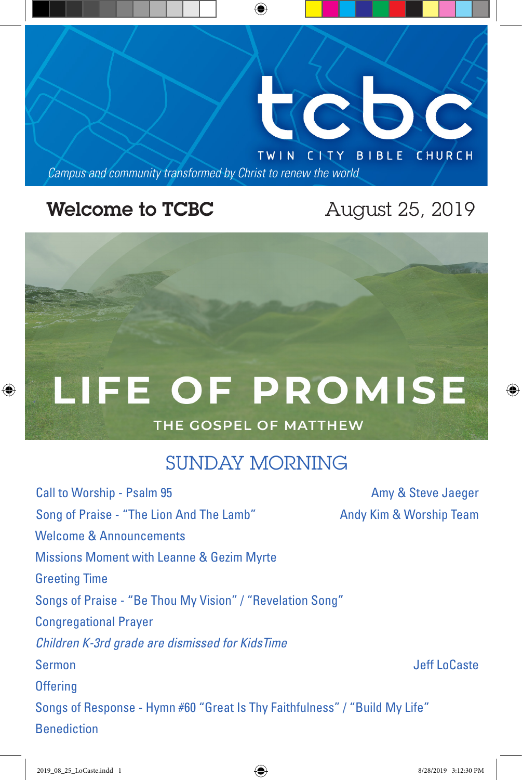

## **Welcome to TCBC** August 25, 2019

♠

# LIFE OF PROMISE

## THE GOSPEL OF MATTHEW

## SUNDAY MORNING

Call to Worship - Psalm 95 Amy & Steve Jaeger Song of Praise - "The Lion And The Lamb" Andy Kim & Worship Team Welcome & Announcements Missions Moment with Leanne & Gezim Myrte Greeting Time Songs of Praise - "Be Thou My Vision" / "Revelation Song" Congregational Prayer *Children K-3rd grade are dismissed for KidsTime* Sermon Jeff LoCaste **Offering** Songs of Response - Hymn #60 "Great Is Thy Faithfulness" / "Build My Life" Benediction

⊕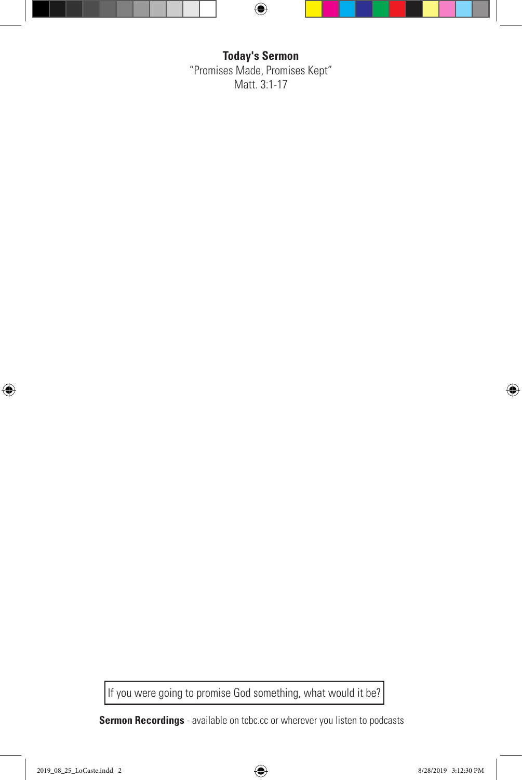

**Today's Sermon** "Promises Made, Promises Kept" Matt. 3:1-17

If you were going to promise God something, what would it be?

**Sermon Recordings** - available on tcbc.cc or wherever you listen to podcasts

 $\bigoplus$ 

 $\bigoplus$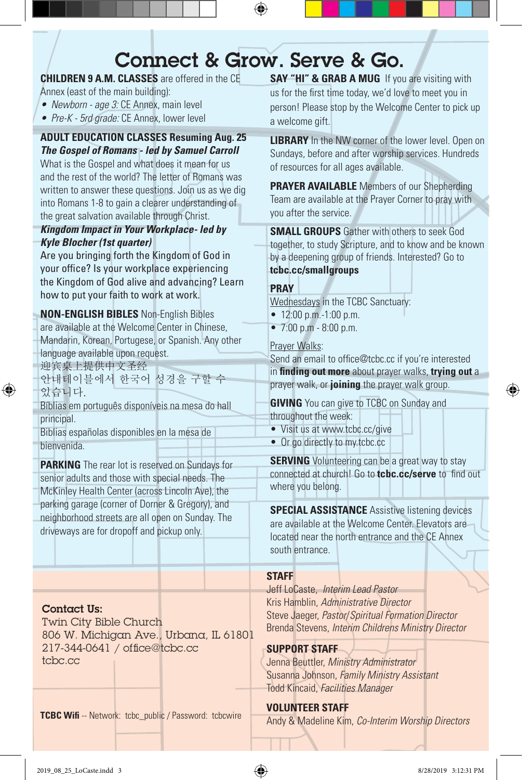# Connect & Grow. Serve & Go.

⊕

**CHILDREN 9 A.M. CLASSES** are offered in the CE

- Annex (east of the main building):
- *• Newborn age 3:* CE Annex, main level
- *• Pre-K 5rd grade:* CE Annex, lower level

#### **ADULT EDUCATION CLASSES Resuming Aug. 25** *The Gospel of Romans - led by Samuel Carroll*

What is the Gospel and what does it mean for us and the rest of the world? The letter of Romans was written to answer these questions. Join us as we dig into Romans 1-8 to gain a clearer understanding of the great salvation available through Christ.

#### *Kingdom Impact in Your Workplace- led by Kyle Blocher (1st quarter)*

Are you bringing forth the Kingdom of God in your office? Is your workplace experiencing the Kingdom of God alive and advancing? Learn how to put your faith to work at work.

**NON-ENGLISH BIBLES** Non-English Bibles are available at the Welcome Center in Chinese, Mandarin, Korean, Portugese, or Spanish. Any other language available upon request. 迎宾桌上提供中文圣经

안내테이블에서 한국어 성경을 구할 수 있습니다.

Bíblias em português disponíveis na mesa do hall principal.

Biblias españolas disponibles en la mesa de bienvenida.

**PARKING** The rear lot is reserved on Sundays for senior adults and those with special needs. The McKinley Health Center (across Lincoln Ave), the parking garage (corner of Dorner & Gregory), and neighborhood streets are all open on Sunday. The driveways are for dropoff and pickup only.

#### Contact Us:

⊕

Twin City Bible Church 806 W. Michigan Ave., Urbana, IL 61801 217-344-0641 / office@tcbc.cc tcbc.cc

**TCBC Wifi** -- Network: tcbc\_public / Password: tcbcwire **TELP Andy & Madeline Kim, Co-Interim Worship Directors** 

**SAY "HI" & GRAB A MUG** If you are visiting with us for the first time today, we'd love to meet you in person! Please stop by the Welcome Center to pick up a welcome gift.

**LIBRARY** In the NW corner of the lower level. Open on Sundays, before and after worship services. Hundreds of resources for all ages available.

**PRAYER AVAILABLE** Members of our Shepherding Team are available at the Prayer Corner to pray with you after the service.

**SMALL GROUPS** Gather with others to seek God together, to study Scripture, and to know and be known by a deepening group of friends. Interested? Go to **tcbc.cc/smallgroups**

#### **PRAY**

Wednesdays in the TCBC Sanctuary:

- 12:00 p.m.-1:00 p.m.
- 7:00 p.m 8:00 p.m.

#### Prayer Walks:

Send an email to office@tcbc.cc if you're interested in **finding out more** about prayer walks, **trying out** a prayer walk, or **joining** the prayer walk group.

**GIVING** You can give to TCBC on Sunday and throughout the week:

- Visit us at www.tcbc.cc/give
- Or go directly to my.tcbc.cc

**SERVING** Volunteering can be a great way to stay connected at church! Go to **tcbc.cc/serve** to find out where you belong.

**SPECIAL ASSISTANCE** Assistive listening devices are available at the Welcome Center. Elevators are located near the north entrance and the CE Annex south entrance.

#### **STAFF**

Jeff LoCaste, *Interim Lead Pastor* Kris Hamblin, *Administrative Director* Steve Jaeger, *Pastor*/*Spiritual Formation Director* Brenda Stevens, *Interim Childrens Ministry Director*

#### **SUPPORT STAFF**

Jenna Beuttler, *Ministry Administrator* Susanna Johnson, *Family Ministry Assistant* Todd Kincaid, *Facilities Manager*

#### **VOLUNTEER STAFF**

⊕